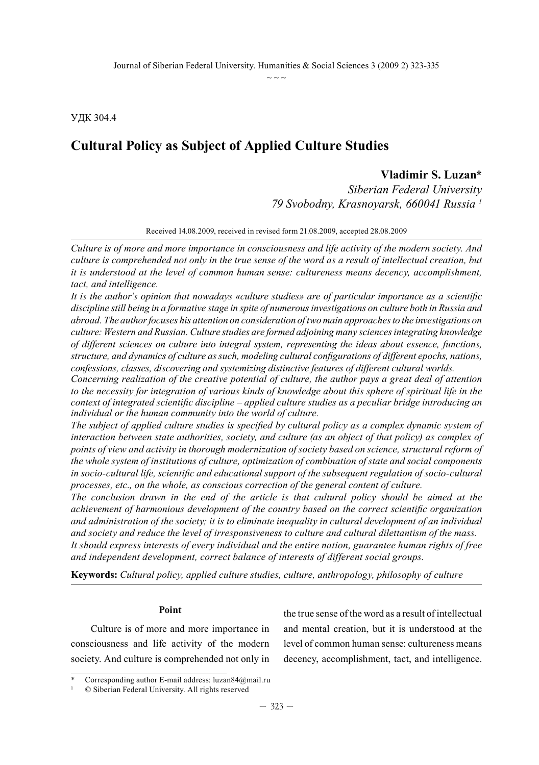УДК 304.4

# **Cultural Policy as Subject of Applied Culture Studies**

# **Vladimir S. Luzan\***

*Siberian Federal University 79 Svobodny, Krasnoyarsk, 660041 Russia 1*

Received 14.08.2009, received in revised form 21.08.2009, accepted 28.08.2009

*Culture is of more and more importance in consciousness and life activity of the modern society. And culture is comprehended not only in the true sense of the word as a result of intellectual creation, but it is understood at the level of common human sense: cultureness means decency, accomplishment, tact, and intelligence.*

*It is the author's opinion that nowadays «culture studies» are of particular importance as a scientific discipline still being in a formative stage in spite of numerous investigations on culture both in Russia and abroad. The author focuses his attention on consideration of two main approaches to the investigations on culture: Western and Russian. Culture studies are formed adjoining many sciences integrating knowledge of different sciences on culture into integral system, representing the ideas about essence, functions, structure, and dynamics of culture as such, modeling cultural configurations of different epochs, nations, confessions, classes, discovering and systemizing distinctive features of different cultural worlds.*

*Concerning realization of the creative potential of culture, the author pays a great deal of attention to the necessity for integration of various kinds of knowledge about this sphere of spiritual life in the context of integrated scientific discipline – applied culture studies as a peculiar bridge introducing an individual or the human community into the world of culture.*

*The subject of applied culture studies is specified by cultural policy as a complex dynamic system of interaction between state authorities, society, and culture (as an object of that policy) as complex of points of view and activity in thorough modernization of society based on science, structural reform of the whole system of institutions of culture, optimization of combination of state and social components in socio-cultural life, scientific and educational support of the subsequent regulation of socio-cultural processes, etc., on the whole, as conscious correction of the general content of culture.*

*The conclusion drawn in the end of the article is that cultural policy should be aimed at the achievement of harmonious development of the country based on the correct scientific organization and administration of the society; it is to eliminate inequality in cultural development of an individual and society and reduce the level of irresponsiveness to culture and cultural dilettantism of the mass. It should express interests of every individual and the entire nation, guarantee human rights of free and independent development, correct balance of interests of different social groups.*

**Keywords:** *Cultural policy, applied culture studies, culture, anthropology, philosophy of culture*

#### **Point**

Culture is of more and more importance in consciousness and life activity of the modern society. And culture is comprehended not only in

the true sense of the word as a result of intellectual and mental creation, but it is understood at the level of common human sense: cultureness means decency, accomplishment, tact, and intelligence.

Corresponding author E-mail address: luzan84@mail.ru

<sup>1</sup> © Siberian Federal University. All rights reserved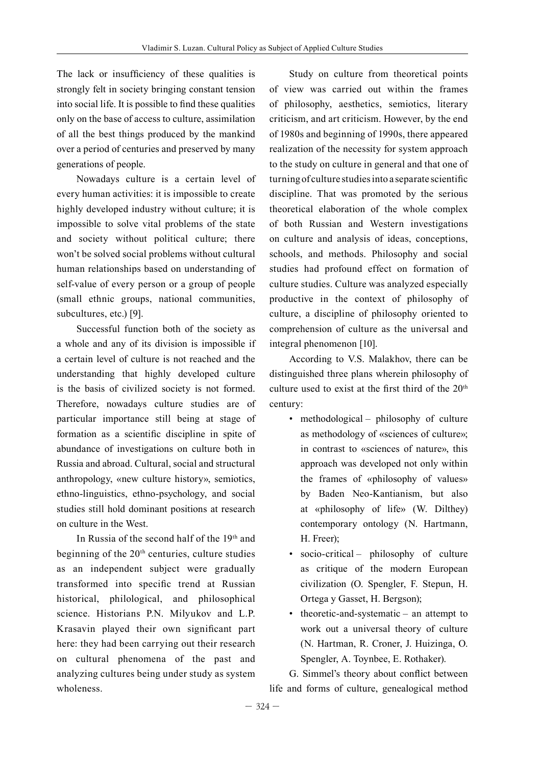The lack or insufficiency of these qualities is strongly felt in society bringing constant tension into social life. It is possible to find these qualities only on the base of access to culture, assimilation of all the best things produced by the mankind over a period of centuries and preserved by many generations of people.

Nowadays culture is a certain level of every human activities: it is impossible to create highly developed industry without culture; it is impossible to solve vital problems of the state and society without political culture; there won't be solved social problems without cultural human relationships based on understanding of self-value of every person or a group of people (small ethnic groups, national communities, subcultures, etc.) [9].

Successful function both of the society as a whole and any of its division is impossible if a certain level of culture is not reached and the understanding that highly developed culture is the basis of civilized society is not formed. Therefore, nowadays culture studies are of particular importance still being at stage of formation as a scientific discipline in spite of abundance of investigations on culture both in Russia and abroad. Cultural, social and structural anthropology, «new culture history», semiotics, ethno-linguistics, ethno-psychology, and social studies still hold dominant positions at research on culture in the West.

In Russia of the second half of the 19th and beginning of the 20<sup>th</sup> centuries, culture studies as an independent subject were gradually transformed into specific trend at Russian historical, philological, and philosophical science. Historians P.N. Milyukov and L.P. Krasavin played their own significant part here: they had been carrying out their research on cultural phenomena of the past and analyzing cultures being under study as system wholeness.

Study on culture from theoretical points of view was carried out within the frames of philosophy, aesthetics, semiotics, literary criticism, and art criticism. However, by the end of 1980s and beginning of 1990s, there appeared realization of the necessity for system approach to the study on culture in general and that one of turning of culture studies into a separate scientific discipline. That was promoted by the serious theoretical elaboration of the whole complex of both Russian and Western investigations on culture and analysis of ideas, conceptions, schools, and methods. Philosophy and social studies had profound effect on formation of culture studies. Culture was analyzed especially productive in the context of philosophy of culture, a discipline of philosophy oriented to comprehension of culture as the universal and integral phenomenon [10].

According to V.S. Malakhov, there can be distinguished three plans wherein philosophy of culture used to exist at the first third of the  $20<sup>th</sup>$ century:

- methodological philosophy of culture as methodology of «sciences of culture»; in contrast to «sciences of nature», this approach was developed not only within the frames of «philosophy of values» by Baden Neo-Kantianism, but also at «philosophy of life» (W. Dilthey) contemporary ontology (N. Hartmann, H. Freer);
- socio-critical philosophy of culture as critique of the modern European civilization (O. Spengler, F. Stepun, H. Ortega y Gasset, H. Bergson);
- theoretic-and-systematic an attempt to work out a universal theory of culture (N. Hartman, R. Croner, J. Huizinga, O. Spengler, A. Toynbee, E. Rothaker).

G. Simmel's theory about conflict between life and forms of culture, genealogical method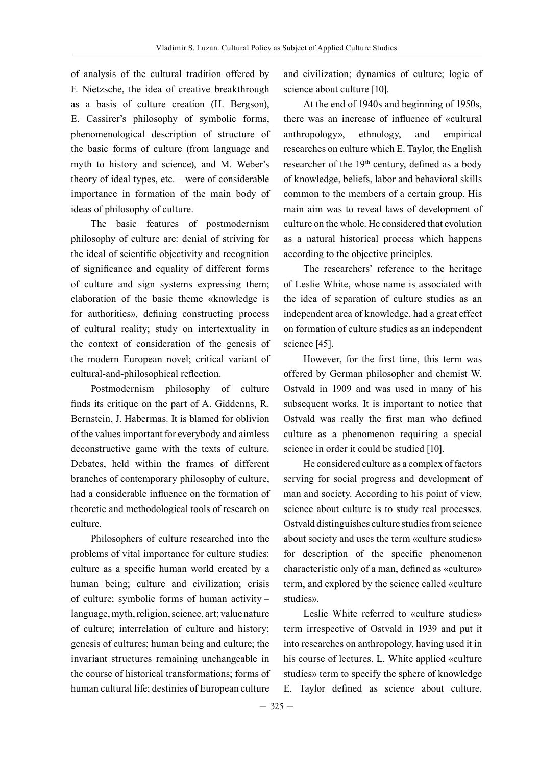of analysis of the cultural tradition offered by F. Nietzsche, the idea of creative breakthrough as a basis of culture creation (H. Bergson), E. Cassirer's philosophy of symbolic forms, phenomenological description of structure of the basic forms of culture (from language and myth to history and science), and M. Weber's theory of ideal types, etc. – were of considerable importance in formation of the main body of ideas of philosophy of culture.

The basic features of postmodernism philosophy of culture are: denial of striving for the ideal of scientific objectivity and recognition of significance and equality of different forms of culture and sign systems expressing them; elaboration of the basic theme «knowledge is for authorities», defining constructing process of cultural reality; study on intertextuality in the context of consideration of the genesis of the modern European novel; critical variant of cultural-and-philosophical reflection.

Postmodernism philosophy of culture finds its critique on the part of A. Giddenns, R. Bernstein, J. Habermas. It is blamed for oblivion of the values important for everybody and aimless deconstructive game with the texts of culture. Debates, held within the frames of different branches of contemporary philosophy of culture, had a considerable influence on the formation of theoretic and methodological tools of research on culture.

Philosophers of culture researched into the problems of vital importance for culture studies: culture as a specific human world created by a human being; culture and civilization; crisis of culture; symbolic forms of human activity – language, myth, religion, science, art; value nature of culture; interrelation of culture and history; genesis of cultures; human being and culture; the invariant structures remaining unchangeable in the course of historical transformations; forms of human cultural life; destinies of European culture

and civilization; dynamics of culture; logic of science about culture [10].

At the end of 1940s and beginning of 1950s, there was an increase of influence of «cultural anthropology», ethnology, and empirical researches on culture which E. Taylor, the English researcher of the 19<sup>th</sup> century, defined as a body of knowledge, beliefs, labor and behavioral skills common to the members of a certain group. His main aim was to reveal laws of development of culture on the whole. He considered that evolution as a natural historical process which happens according to the objective principles.

The researchers' reference to the heritage of Leslie White, whose name is associated with the idea of separation of culture studies as an independent area of knowledge, had a great effect on formation of culture studies as an independent science [45].

However, for the first time, this term was offered by German philosopher and chemist W. Ostvald in 1909 and was used in many of his subsequent works. It is important to notice that Ostvald was really the first man who defined culture as a phenomenon requiring a special science in order it could be studied [10].

He considered culture as a complex of factors serving for social progress and development of man and society. According to his point of view, science about culture is to study real processes. Ostvald distinguishes culture studies from science about society and uses the term «culture studies» for description of the specific phenomenon characteristic only of a man, defined as «culture» term, and explored by the science called «culture studies».

Leslie White referred to «culture studies» term irrespective of Ostvald in 1939 and put it into researches on anthropology, having used it in his course of lectures. L. White applied «culture studies» term to specify the sphere of knowledge E. Taylor defined as science about culture.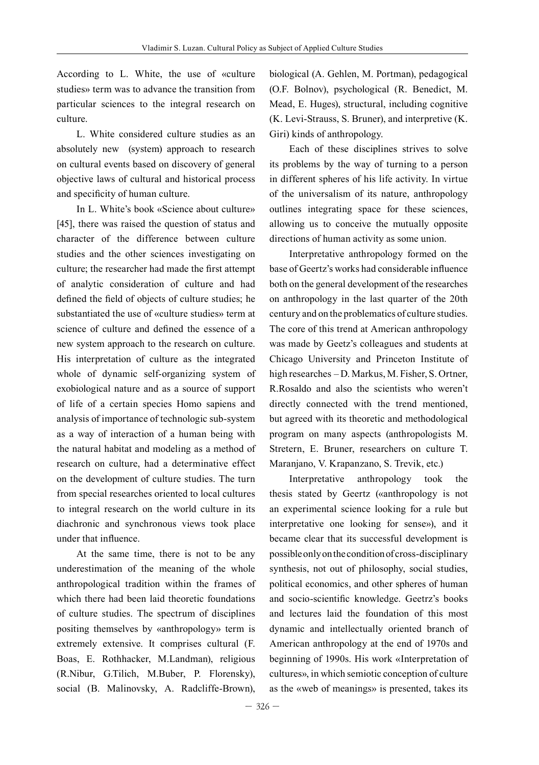According to L. White, the use of «culture studies» term was to advance the transition from particular sciences to the integral research on culture.

L. White considered culture studies as an absolutely new (system) approach to research on cultural events based on discovery of general objective laws of cultural and historical process and specificity of human culture.

In L. White's book «Science about culture» [45], there was raised the question of status and character of the difference between culture studies and the other sciences investigating on culture; the researcher had made the first attempt of analytic consideration of culture and had defined the field of objects of culture studies; he substantiated the use of «culture studies» term at science of culture and defined the essence of a new system approach to the research on culture. His interpretation of culture as the integrated whole of dynamic self-organizing system of exobiological nature and as a source of support of life of a certain species Homo sapiens and analysis of importance of technologic sub-system as a way of interaction of a human being with the natural habitat and modeling as a method of research on culture, had a determinative effect on the development of culture studies. The turn from special researches oriented to local cultures to integral research on the world culture in its diachronic and synchronous views took place under that influence.

At the same time, there is not to be any underestimation of the meaning of the whole anthropological tradition within the frames of which there had been laid theoretic foundations of culture studies. The spectrum of disciplines positing themselves by «anthropology» term is extremely extensive. It comprises cultural (F. Boas, E. Rothhacker, M.Landman), religious (R.Nibur, G.Tilich, M.Buber, P. Florensky), social (B. Malinovsky, A. Radcliffe-Brown),

biological (A. Gehlen, M. Portman), pedagogical (O.F. Bolnov), psychological (R. Benedict, M. Mead, E. Huges), structural, including cognitive (K. Levi-Strauss, S. Bruner), and interpretive (K. Giri) kinds of anthropology.

Each of these disciplines strives to solve its problems by the way of turning to a person in different spheres of his life activity. In virtue of the universalism of its nature, anthropology outlines integrating space for these sciences, allowing us to conceive the mutually opposite directions of human activity as some union.

Interpretative anthropology formed on the base of Geertz's works had considerable influence both on the general development of the researches on anthropology in the last quarter of the 20th century and on the problematics of culture studies. The core of this trend at American anthropology was made by Geetz's colleagues and students at Chicago University and Princeton Institute of high researches – D. Markus, M. Fisher, S. Ortner, R.Rosaldo and also the scientists who weren't directly connected with the trend mentioned, but agreed with its theoretic and methodological program on many aspects (anthropologists M. Stretern, E. Bruner, researchers on culture T. Maranjano, V. Krapanzano, S. Trevik, etc.)

Interpretative anthropology took the thesis stated by Geertz («anthropology is not an experimental science looking for a rule but interpretative one looking for sense»), and it became clear that its successful development is possible only on the condition of cross-disciplinary synthesis, not out of philosophy, social studies, political economics, and other spheres of human and socio-scientific knowledge. Geetrz's books and lectures laid the foundation of this most dynamic and intellectually oriented branch of American anthropology at the end of 1970s and beginning of 1990s. His work «Interpretation of cultures», in which semiotic conception of culture as the «web of meanings» is presented, takes its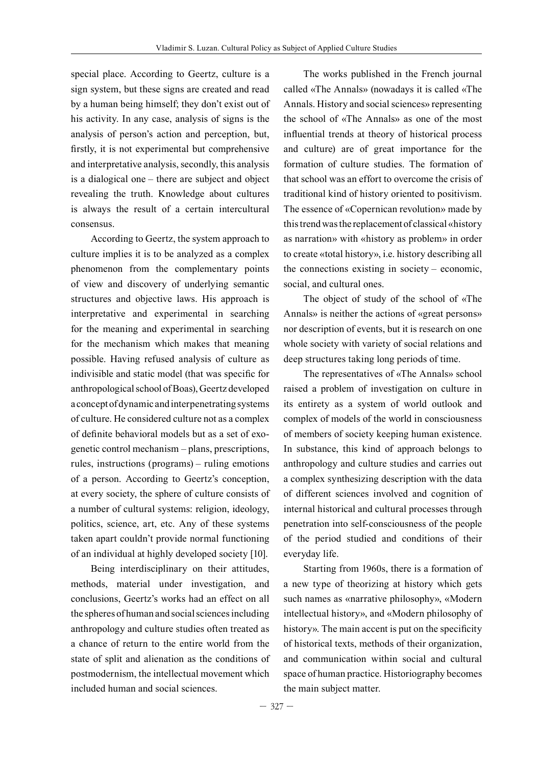special place. According to Geertz, culture is a sign system, but these signs are created and read by a human being himself; they don't exist out of his activity. In any case, analysis of signs is the analysis of person's action and perception, but, firstly, it is not experimental but comprehensive and interpretative analysis, secondly, this analysis is a dialogical one – there are subject and object revealing the truth. Knowledge about cultures is always the result of a certain intercultural consensus.

According to Geertz, the system approach to culture implies it is to be analyzed as a complex phenomenon from the complementary points of view and discovery of underlying semantic structures and objective laws. His approach is interpretative and experimental in searching for the meaning and experimental in searching for the mechanism which makes that meaning possible. Having refused analysis of culture as indivisible and static model (that was specific for anthropological school of Boas), Geertz developed a concept of dynamic and interpenetrating systems of culture. He considered culture not as a complex of definite behavioral models but as a set of exogenetic control mechanism – plans, prescriptions, rules, instructions (programs) – ruling emotions of a person. According to Geertz's conception, at every society, the sphere of culture consists of a number of cultural systems: religion, ideology, politics, science, art, etc. Any of these systems taken apart couldn't provide normal functioning of an individual at highly developed society [10].

Being interdisciplinary on their attitudes, methods, material under investigation, and conclusions, Geertz's works had an effect on all the spheres of human and social sciences including anthropology and culture studies often treated as a chance of return to the entire world from the state of split and alienation as the conditions of postmodernism, the intellectual movement which included human and social sciences.

The works published in the French journal called «The Annals» (nowadays it is called «The Annals. History and social sciences» representing the school of «The Annals» as one of the most influential trends at theory of historical process and culture) are of great importance for the formation of culture studies. The formation of that school was an effort to overcome the crisis of traditional kind of history oriented to positivism. The essence of «Copernican revolution» made by this trend was the replacement of classical «history as narration» with «history as problem» in order to create «total history», i.e. history describing all the connections existing in society – economic, social, and cultural ones.

The object of study of the school of «The Annals» is neither the actions of «great persons» nor description of events, but it is research on one whole society with variety of social relations and deep structures taking long periods of time.

The representatives of «The Annals» school raised a problem of investigation on culture in its entirety as a system of world outlook and complex of models of the world in consciousness of members of society keeping human existence. In substance, this kind of approach belongs to anthropology and culture studies and carries out a complex synthesizing description with the data of different sciences involved and cognition of internal historical and cultural processes through penetration into self-consciousness of the people of the period studied and conditions of their everyday life.

Starting from 1960s, there is a formation of a new type of theorizing at history which gets such names as «narrative philosophy», «Modern intellectual history», and «Modern philosophy of history». The main accent is put on the specificity of historical texts, methods of their organization, and communication within social and cultural space of human practice. Historiography becomes the main subject matter.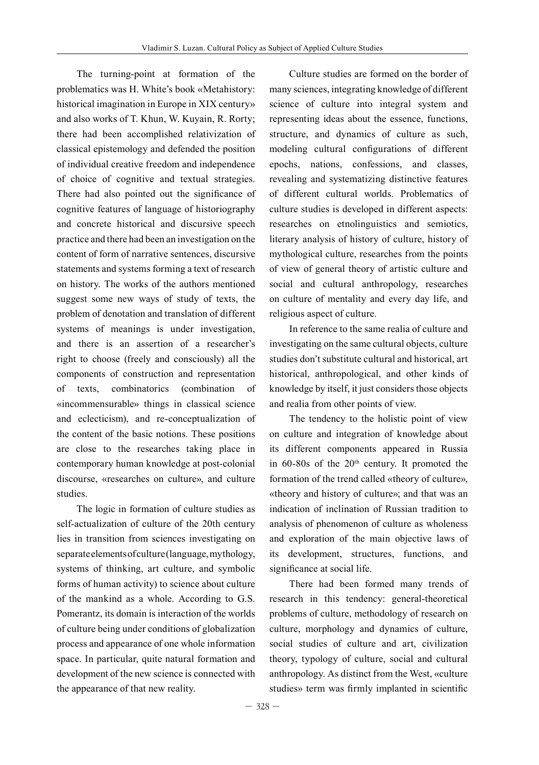The turning-point at formation of the problematics was H. White's book «Metahistory: historical imagination in Europe in XIX century» and also works of T. Khun, W. Kuyain, R. Rorty; there had been accomplished relativization of classical epistemology and defended the position of individual creative freedom and independence of choice of cognitive and textual strategies. There had also pointed out the significance of cognitive features of language of historiography and concrete historical and discursive speech practice and there had been an investigation on the content of form of narrative sentences, discursive statements and systems forming a text of research on history. The works of the authors mentioned suggest some new ways of study of texts, the problem of denotation and translation of different systems of meanings is under investigation, and there is an assertion of a researcher's right to choose (freely and consciously) all the components of construction and representation of texts, combinatorics (combination of «incommensurable» things in classical science and eclecticism), and re-conceptualization of the content of the basic notions. These positions are close to the researches taking place in contemporary human knowledge at post-colonial discourse, «researches on culture», and culture studies.

The logic in formation of culture studies as self-actualization of culture of the 20th century lies in transition from sciences investigating on separate elements of culture (language, mythology, systems of thinking, art culture, and symbolic forms of human activity) to science about culture of the mankind as a whole. According to G.S. Pomerantz, its domain is interaction of the worlds of culture being under conditions of globalization process and appearance of one whole information space. In particular, quite natural formation and development of the new science is connected with the appearance of that new reality.

Culture studies are formed on the border of many sciences, integrating knowledge of different science of culture into integral system and representing ideas about the essence, functions, structure, and dynamics of culture as such, modeling cultural configurations of different epochs, nations, confessions, and classes, revealing and systematizing distinctive features of different cultural worlds. Problematics of culture studies is developed in different aspects: researches on etnolinguistics and semiotics, literary analysis of history of culture, history of mythological culture, researches from the points of view of general theory of artistic culture and social and cultural anthropology, researches on culture of mentality and every day life, and religious aspect of culture.

In reference to the same realia of culture and investigating on the same cultural objects, culture studies don't substitute cultural and historical, art historical, anthropological, and other kinds of knowledge by itself, it just considers those objects and realia from other points of view.

The tendency to the holistic point of view on culture and integration of knowledge about its different components appeared in Russia in  $60-80s$  of the  $20<sup>th</sup>$  century. It promoted the formation of the trend called «theory of culture», «theory and history of culture»; and that was an indication of inclination of Russian tradition to analysis of phenomenon of culture as wholeness and exploration of the main objective laws of its development, structures, functions, and significance at social life.

There had been formed many trends of research in this tendency: general-theoretical problems of culture, methodology of research on culture, morphology and dynamics of culture, social studies of culture and art, civilization theory, typology of culture, social and cultural anthropology. As distinct from the West, «culture studies» term was firmly implanted in scientific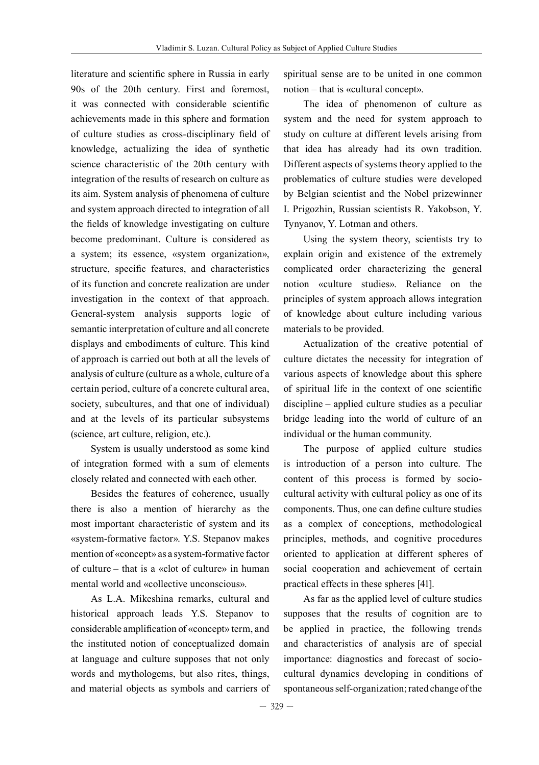literature and scientific sphere in Russia in early 90s of the 20th century. First and foremost, it was connected with considerable scientific achievements made in this sphere and formation of culture studies as cross-disciplinary field of knowledge, actualizing the idea of synthetic science characteristic of the 20th century with integration of the results of research on culture as its aim. System analysis of phenomena of culture and system approach directed to integration of all the fields of knowledge investigating on culture become predominant. Culture is considered as a system; its essence, «system organization», structure, specific features, and characteristics of its function and concrete realization are under investigation in the context of that approach. General-system analysis supports logic of semantic interpretation of culture and all concrete displays and embodiments of culture. This kind of approach is carried out both at all the levels of analysis of culture (culture as a whole, culture of a certain period, culture of a concrete cultural area, society, subcultures, and that one of individual) and at the levels of its particular subsystems (science, art culture, religion, etc.).

System is usually understood as some kind of integration formed with a sum of elements closely related and connected with each other.

Besides the features of coherence, usually there is also a mention of hierarchy as the most important characteristic of system and its «system-formative factor». Y.S. Stepanov makes mention of «concept» as a system-formative factor of culture – that is a «clot of culture» in human mental world and «collective unconscious».

As L.A. Mikeshina remarks, cultural and historical approach leads Y.S. Stepanov to considerable amplification of «concept» term, and the instituted notion of conceptualized domain at language and culture supposes that not only words and mythologems, but also rites, things, and material objects as symbols and carriers of

spiritual sense are to be united in one common notion – that is «cultural concept».

The idea of phenomenon of culture as system and the need for system approach to study on culture at different levels arising from that idea has already had its own tradition. Different aspects of systems theory applied to the problematics of culture studies were developed by Belgian scientist and the Nobel prizewinner I. Prigozhin, Russian scientists R. Yakobson, Y. Tynyanov, Y. Lotman and others.

Using the system theory, scientists try to explain origin and existence of the extremely complicated order characterizing the general notion «culture studies». Reliance on the principles of system approach allows integration of knowledge about culture including various materials to be provided.

Actualization of the creative potential of culture dictates the necessity for integration of various aspects of knowledge about this sphere of spiritual life in the context of one scientific discipline – applied culture studies as a peculiar bridge leading into the world of culture of an individual or the human community.

The purpose of applied culture studies is introduction of a person into culture. The content of this process is formed by sociocultural activity with cultural policy as one of its components. Thus, one can define culture studies as a complex of conceptions, methodological principles, methods, and cognitive procedures oriented to application at different spheres of social cooperation and achievement of certain practical effects in these spheres [41].

As far as the applied level of culture studies supposes that the results of cognition are to be applied in practice, the following trends and characteristics of analysis are of special importance: diagnostics and forecast of sociocultural dynamics developing in conditions of spontaneous self-organization; rated change of the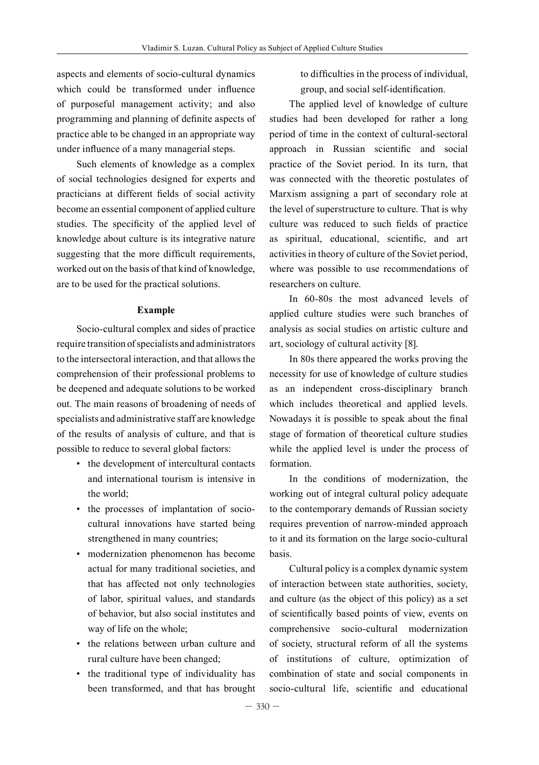aspects and elements of socio-cultural dynamics which could be transformed under influence of purposeful management activity; and also programming and planning of definite aspects of practice able to be changed in an appropriate way under influence of a many managerial steps.

Such elements of knowledge as a complex of social technologies designed for experts and practicians at different fields of social activity become an essential component of applied culture studies. The specificity of the applied level of knowledge about culture is its integrative nature suggesting that the more difficult requirements, worked out on the basis of that kind of knowledge, are to be used for the practical solutions.

### **Example**

Socio-cultural complex and sides of practice require transition of specialists and administrators to the intersectoral interaction, and that allows the comprehension of their professional problems to be deepened and adequate solutions to be worked out. The main reasons of broadening of needs of specialists and administrative staff are knowledge of the results of analysis of culture, and that is possible to reduce to several global factors:

- the development of intercultural contacts and international tourism is intensive in the world;
- the processes of implantation of sociocultural innovations have started being strengthened in many countries;
- modernization phenomenon has become actual for many traditional societies, and that has affected not only technologies of labor, spiritual values, and standards of behavior, but also social institutes and way of life on the whole;
- the relations between urban culture and rural culture have been changed;
- the traditional type of individuality has been transformed, and that has brought

to difficulties in the process of individual, group, and social self-identification.

The applied level of knowledge of culture studies had been developed for rather a long period of time in the context of cultural-sectoral approach in Russian scientific and social practice of the Soviet period. In its turn, that was connected with the theoretic postulates of Marxism assigning a part of secondary role at the level of superstructure to culture. That is why culture was reduced to such fields of practice as spiritual, educational, scientific, and art activities in theory of culture of the Soviet period, where was possible to use recommendations of researchers on culture.

In 60-80s the most advanced levels of applied culture studies were such branches of analysis as social studies on artistic culture and art, sociology of cultural activity [8].

In 80s there appeared the works proving the necessity for use of knowledge of culture studies as an independent cross-disciplinary branch which includes theoretical and applied levels. Nowadays it is possible to speak about the final stage of formation of theoretical culture studies while the applied level is under the process of formation.

In the conditions of modernization, the working out of integral cultural policy adequate to the contemporary demands of Russian society requires prevention of narrow-minded approach to it and its formation on the large socio-cultural basis.

Cultural policy is a complex dynamic system of interaction between state authorities, society, and culture (as the object of this policy) as a set of scientifically based points of view, events on comprehensive socio-cultural modernization of society, structural reform of all the systems of institutions of culture, optimization of combination of state and social components in socio-cultural life, scientific and educational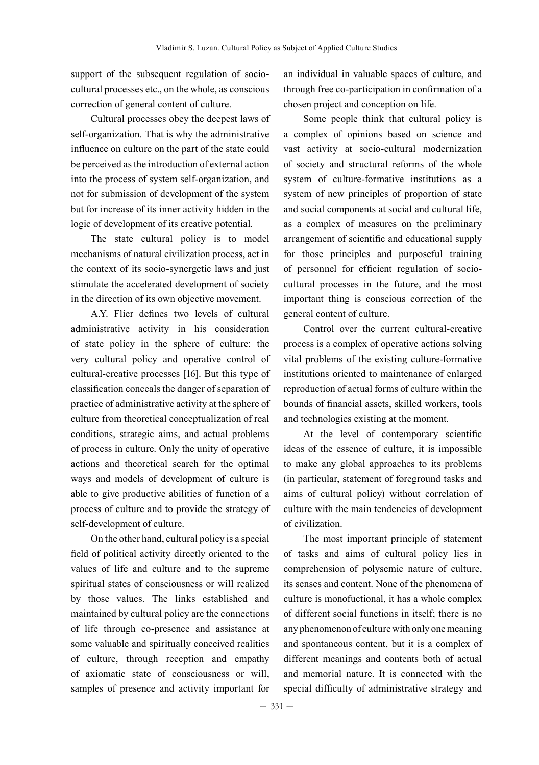support of the subsequent regulation of sociocultural processes etc., on the whole, as conscious correction of general content of culture.

Cultural processes obey the deepest laws of self-organization. That is why the administrative influence on culture on the part of the state could be perceived as the introduction of external action into the process of system self-organization, and not for submission of development of the system but for increase of its inner activity hidden in the logic of development of its creative potential.

The state cultural policy is to model mechanisms of natural civilization process, act in the context of its socio-synergetic laws and just stimulate the accelerated development of society in the direction of its own objective movement.

A.Y. Flier defines two levels of cultural administrative activity in his consideration of state policy in the sphere of culture: the very cultural policy and operative control of cultural-creative processes [16]. But this type of classification conceals the danger of separation of practice of administrative activity at the sphere of culture from theoretical conceptualization of real conditions, strategic aims, and actual problems of process in culture. Only the unity of operative actions and theoretical search for the optimal ways and models of development of culture is able to give productive abilities of function of a process of culture and to provide the strategy of self-development of culture.

On the other hand, cultural policy is a special field of political activity directly oriented to the values of life and culture and to the supreme spiritual states of consciousness or will realized by those values. The links established and maintained by cultural policy are the connections of life through co-presence and assistance at some valuable and spiritually conceived realities of culture, through reception and empathy of axiomatic state of consciousness or will, samples of presence and activity important for

an individual in valuable spaces of culture, and through free co-participation in confirmation of a chosen project and conception on life.

Some people think that cultural policy is a complex of opinions based on science and vast activity at socio-cultural modernization of society and structural reforms of the whole system of culture-formative institutions as a system of new principles of proportion of state and social components at social and cultural life, as a complex of measures on the preliminary arrangement of scientific and educational supply for those principles and purposeful training of personnel for efficient regulation of sociocultural processes in the future, and the most important thing is conscious correction of the general content of culture.

Control over the current cultural-creative process is a complex of operative actions solving vital problems of the existing culture-formative institutions oriented to maintenance of enlarged reproduction of actual forms of culture within the bounds of financial assets, skilled workers, tools and technologies existing at the moment.

At the level of contemporary scientific ideas of the essence of culture, it is impossible to make any global approaches to its problems (in particular, statement of foreground tasks and aims of cultural policy) without correlation of culture with the main tendencies of development of civilization.

The most important principle of statement of tasks and aims of cultural policy lies in comprehension of polysemic nature of culture, its senses and content. None of the phenomena of culture is monofuctional, it has a whole complex of different social functions in itself; there is no any phenomenon of culture with only one meaning and spontaneous content, but it is a complex of different meanings and contents both of actual and memorial nature. It is connected with the special difficulty of administrative strategy and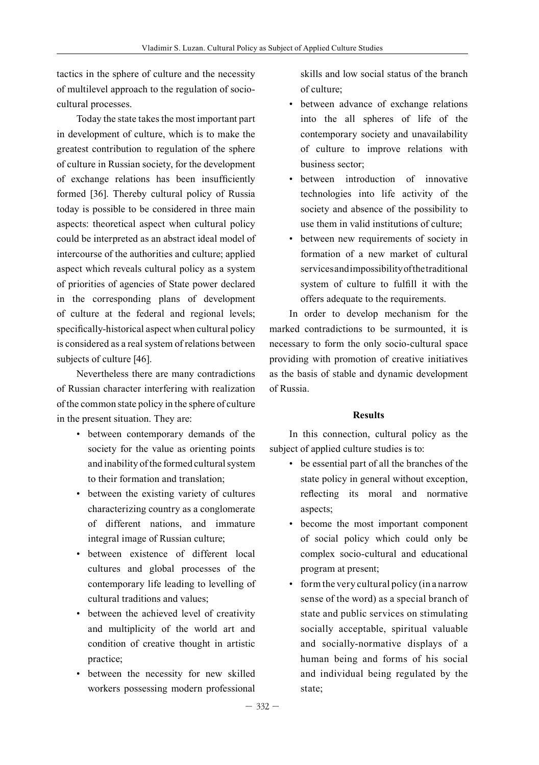tactics in the sphere of culture and the necessity of multilevel approach to the regulation of sociocultural processes.

Today the state takes the most important part in development of culture, which is to make the greatest contribution to regulation of the sphere of culture in Russian society, for the development of exchange relations has been insufficiently formed [36]. Thereby cultural policy of Russia today is possible to be considered in three main aspects: theoretical aspect when cultural policy could be interpreted as an abstract ideal model of intercourse of the authorities and culture; applied aspect which reveals cultural policy as a system of priorities of agencies of State power declared in the corresponding plans of development of culture at the federal and regional levels; specifically-historical aspect when cultural policy is considered as a real system of relations between subjects of culture [46].

Nevertheless there are many contradictions of Russian character interfering with realization of the common state policy in the sphere of culture in the present situation. They are:

- between contemporary demands of the society for the value as orienting points and inability of the formed cultural system to their formation and translation;
- between the existing variety of cultures characterizing country as a conglomerate of different nations, and immature integral image of Russian culture;
- between existence of different local cultures and global processes of the contemporary life leading to levelling of cultural traditions and values;
- between the achieved level of creativity and multiplicity of the world art and condition of creative thought in artistic practice;
- between the necessity for new skilled workers possessing modern professional

skills and low social status of the branch of culture;

- between advance of exchange relations into the all spheres of life of the contemporary society and unavailability of culture to improve relations with business sector;
- between introduction of innovative technologies into life activity of the society and absence of the possibility to use them in valid institutions of culture;
- between new requirements of society in formation of a new market of cultural services and impossibility of the traditional system of culture to fulfill it with the offers adequate to the requirements.

In order to develop mechanism for the marked contradictions to be surmounted, it is necessary to form the only socio-cultural space providing with promotion of creative initiatives as the basis of stable and dynamic development of Russia.

## **Results**

In this connection, cultural policy as the subject of applied culture studies is to:

- be essential part of all the branches of the state policy in general without exception, reflecting its moral and normative aspects;
- become the most important component of social policy which could only be complex socio-cultural and educational program at present;
- form the very cultural policy (in a narrow sense of the word) as a special branch of state and public services on stimulating socially acceptable, spiritual valuable and socially-normative displays of a human being and forms of his social and individual being regulated by the state;

 $-332-$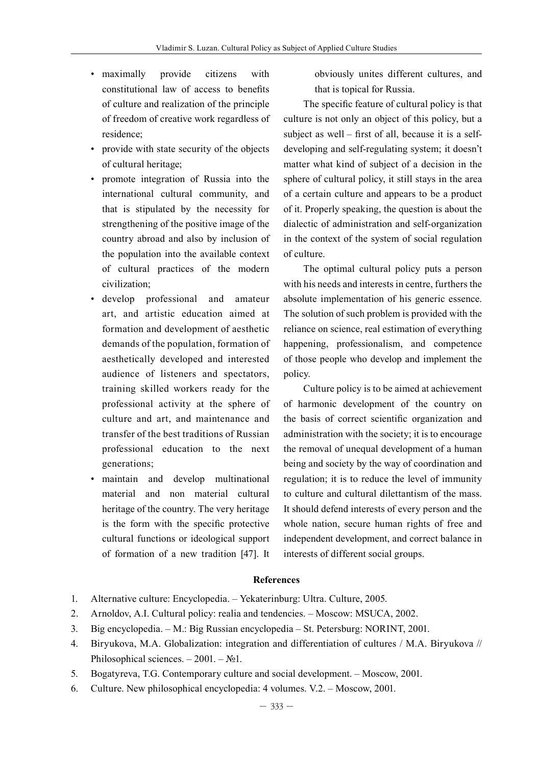- maximally provide citizens with constitutional law of access to benefits of culture and realization of the principle of freedom of creative work regardless of residence;
- provide with state security of the objects of cultural heritage;
- promote integration of Russia into the international cultural community, and that is stipulated by the necessity for strengthening of the positive image of the country abroad and also by inclusion of the population into the available context of cultural practices of the modern civilization;
- develop professional and amateur art, and artistic education aimed at formation and development of aesthetic demands of the population, formation of aesthetically developed and interested audience of listeners and spectators, training skilled workers ready for the professional activity at the sphere of culture and art, and maintenance and transfer of the best traditions of Russian professional education to the next generations;
- maintain and develop multinational material and non material cultural heritage of the country. The very heritage is the form with the specific protective cultural functions or ideological support of formation of a new tradition [47]. It

obviously unites different cultures, and that is topical for Russia.

The specific feature of cultural policy is that culture is not only an object of this policy, but a subject as well – first of all, because it is a selfdeveloping and self-regulating system; it doesn't matter what kind of subject of a decision in the sphere of cultural policy, it still stays in the area of a certain culture and appears to be a product of it. Properly speaking, the question is about the dialectic of administration and self-organization in the context of the system of social regulation of culture.

The optimal cultural policy puts a person with his needs and interests in centre, furthers the absolute implementation of his generic essence. The solution of such problem is provided with the reliance on science, real estimation of everything happening, professionalism, and competence of those people who develop and implement the policy.

Culture policy is to be aimed at achievement of harmonic development of the country on the basis of correct scientific organization and administration with the society; it is to encourage the removal of unequal development of a human being and society by the way of coordination and regulation; it is to reduce the level of immunity to culture and cultural dilettantism of the mass. It should defend interests of every person and the whole nation, secure human rights of free and independent development, and correct balance in interests of different social groups.

#### **References**

- 1. Alternative culture: Encyclopedia. Yekaterinburg: Ultra. Culture, 2005.
- 2. Arnoldov, A.I. Cultural policy: realia and tendencies. Moscow: MSUCA, 2002.
- 3. Big encyclopedia. M.: Big Russian encyclopedia St. Petersburg: NORINT, 2001.
- 4. Biryukova, M.A. Globalization: integration and differentiation of cultures / M.A. Biryukova // Philosophical sciences.  $-2001. - N<sub>2</sub>1$ .
- 5. Bogatyreva, T.G. Contemporary culture and social development. Moscow, 2001.
- 6. Culture. New philosophical encyclopedia: 4 volumes. V.2. Moscow, 2001.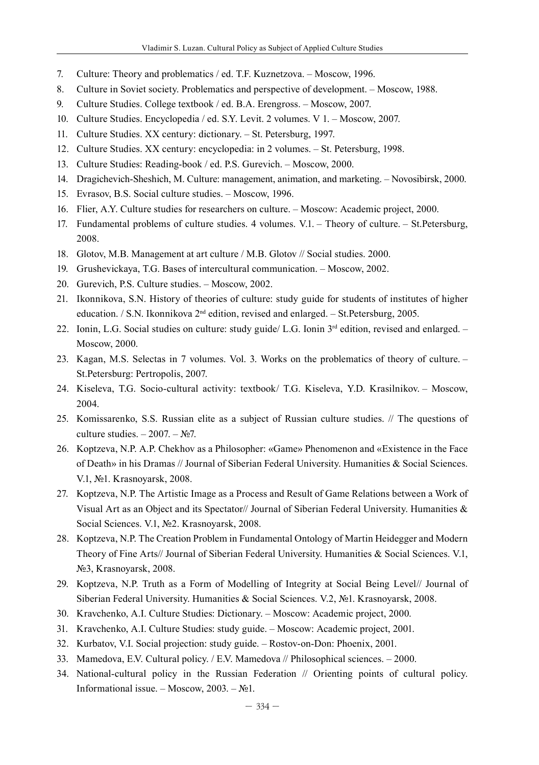- 7. Culture: Theory and problematics / ed. T.F. Kuznetzova. Moscow, 1996.
- 8. Culture in Soviet society. Problematics and perspective of development. Moscow, 1988.
- 9. Culture Studies. College textbook / ed. B.A. Erengross. Moscow, 2007.
- 10. Culture Studies. Encyclopedia / ed. S.Y. Levit. 2 volumes. V 1. Moscow, 2007.
- 11. Culture Studies. XX century: dictionary. St. Petersburg, 1997.
- 12. Culture Studies. XX century: encyclopedia: in 2 volumes. St. Petersburg, 1998.
- 13. Culture Studies: Reading-book / ed. P.S. Gurevich. Moscow, 2000.
- 14. Dragichevich-Sheshich, M. Culture: management, animation, and marketing. Novosibirsk, 2000.
- 15. Evrasov, B.S. Social culture studies. Moscow, 1996.
- 16. Flier, A.Y. Culture studies for researchers on culture. Moscow: Academic project, 2000.
- 17. Fundamental problems of culture studies. 4 volumes. V.1. Theory of culture. St.Petersburg, 2008.
- 18. Glotov, M.B. Management at art culture / M.B. Glotov // Social studies. 2000.
- 19. Grushevickaya, T.G. Bases of intercultural communication. Moscow, 2002.
- 20. Gurevich, P.S. Culture studies. Moscow, 2002.
- 21. Ikonnikova, S.N. History of theories of culture: study guide for students of institutes of higher education. / S.N. Ikonnikova 2nd edition, revised and enlarged. – St.Petersburg, 2005.
- 22. Ionin, L.G. Social studies on culture: study guide/ L.G. Ionin 3<sup>rd</sup> edition, revised and enlarged. Moscow, 2000.
- 23. Kagan, M.S. Selectas in 7 volumes. Vol. 3. Works on the problematics of theory of culture. St.Petersburg: Pertropolis, 2007.
- 24. Kiseleva, T.G. Socio-cultural activity: textbook/ T.G. Kiseleva, Y.D. Krasilnikov. Moscow, 2004.
- 25. Komissarenko, S.S. Russian elite as a subject of Russian culture studies. // The questions of culture studies.  $-2007. - N2$ .
- 26. Koptzeva, N.P. A.P. Chekhov as a Philosopher: «Game» Phenomenon and «Existence in the Face of Death» in his Dramas // Journal of Siberian Federal University. Humanities & Social Sciences. V.1, №1. Krasnoyarsk, 2008.
- 27. Koptzeva, N.P. The Artistic Image as a Process and Result of Game Relations between a Work of Visual Art as an Object and its Spectator// Journal of Siberian Federal University. Humanities  $\&$ Social Sciences. V.1, №2. Krasnoyarsk, 2008.
- 28. Koptzeva, N.P. The Creation Problem in Fundamental Ontology of Martin Heidegger and Modern Theory of Fine Arts// Journal of Siberian Federal University. Humanities & Social Sciences. V.1, №3, Krasnoyarsk, 2008.
- 29. Koptzeva, N.P. Truth as a Form of Modelling of Integrity at Social Being Level// Journal of Siberian Federal University. Humanities & Social Sciences. V.2, №1. Krasnoyarsk, 2008.
- 30. Kravchenko, A.I. Culture Studies: Dictionary. Moscow: Academic project, 2000.
- 31. Kravchenko, A.I. Culture Studies: study guide. Moscow: Academic project, 2001.
- 32. Kurbatov, V.I. Social projection: study guide. Rostov-on-Don: Phoenix, 2001.
- 33. Mamedova, E.V. Cultural policy. / E.V. Mamedova // Philosophical sciences. 2000.
- 34. National-cultural policy in the Russian Federation // Orienting points of cultural policy. Informational issue. – Moscow,  $2003. - N<sub>2</sub>1$ .